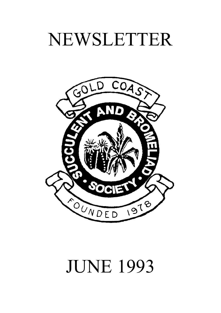# NEWSLETTER



# JUNE 1993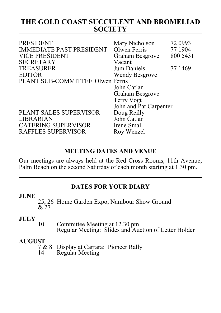# **THE GOLD COAST SUCCULENT AND BROMELIAD SOCIETY**

| <b>PRESIDENT</b><br><b>IMMEDIATE PAST PRESIDENT</b><br><b>VICE PRESIDENT</b><br><b>SECRETARY</b> | Mary Nicholson<br>Olwen Ferris<br>Graham Besgrove<br>Vacant | 72 0993<br>77 1904<br>800 5431 |
|--------------------------------------------------------------------------------------------------|-------------------------------------------------------------|--------------------------------|
| <b>TREASURER</b>                                                                                 | Jum Daniels                                                 | 77 1469                        |
| <b>EDITOR</b>                                                                                    | Wendy Besgrove                                              |                                |
| PLANT SUB-COMMITTEE Olwen Ferris                                                                 |                                                             |                                |
|                                                                                                  | John Catlan                                                 |                                |
|                                                                                                  | Graham Besgrove                                             |                                |
|                                                                                                  | <b>Terry Vogt</b>                                           |                                |
|                                                                                                  | John and Pat Carpenter                                      |                                |
| PLANT SALES SUPERVISOR                                                                           | Doug Reilly                                                 |                                |
| LIBRARIAN                                                                                        | John Catlan                                                 |                                |
| <b>CATERING SUPERVISOR</b>                                                                       | Irene Small                                                 |                                |
| RAFFLES SUPERVISOR                                                                               | Roy Wenzel                                                  |                                |
|                                                                                                  |                                                             |                                |

#### **MEETING DATES AND VENUE**

Our meetings are always held at the Red Cross Rooms, 11th Avenue, Palm Beach on the second Saturday of each month starting at 1.30 pm.

### **DATES FOR YOUR DIARY**

#### **JUNE**

25, 26 Home Garden Expo, Nambour Show Ground & 27

#### **JULY**

10 Committee Meeting at 12.30 pm Regular Meeting: Slides and Auction of Letter Holder

# **AUGUST**<br>7 & 8

7 & 8 Display at Carrara: Pioneer Rally<br>14 Regular Meeting Regular Meeting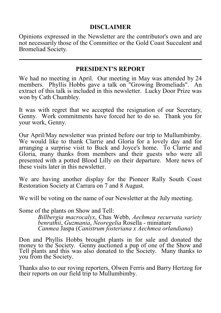#### **DISCLAIMER**

Opinions expressed in the Newsletter are the contributor's own and are not necessarily those of the Committee or the Gold Coast Succulent and Bromeliad Society.

#### **PRESIDENT'S REPORT**

We had no meeting in April. Our meeting in May was attended by 24 members. Phyllis Hobbs gave a talk on "Growing Bromeliads". An extract of this talk is included in this newsletter. Lucky Door Prize was won by Cath Chumbley.

It was with regret that we accepted the resignation of our Secretary, Genny. Work commitments have forced her to do so. Thank you for your work, Genny.

Our April/May newsletter was printed before our trip to Mullumbimby. We would like to thank Clarrie and Gloria for a lovely day and for arranging a surprise visit to Buck and Joyce's home. To Clarrie and Gloria, many thanks from members and their guests who were all presented with a potted Blood Lilly on their departure. More news of these visits later in this newsletter.

We are having another display for the Pioneer Rally South Coast Restoration Society at Carrara on 7 and 8 August.

We will be voting on the name of our Newsletter at the July meeting.

Some of the plants on Show and Tell:

*Billbergia macrocalyx*, Chas Webb, *Aechmea recurvata variety benrathii*, *Guzmania*, *Neoregelia* Rosella - miniature *Canmea* Jaspa (*Canistrum fosteriana x Aechmea orlandiana*)

Don and Phyllis Hobbs brought plants in for sale and donated the money to the Society. Genny auctioned a pup of one of the Show and Tell plants and this was also donated to the Society. Many thanks to you from the Society.

Thanks also to our roving reporters, Olwen Ferris and Barry Hertzog for their reports on our field trip to Mullumbimby.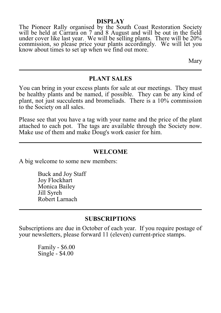#### **DISPLAY**

The Pioneer Rally organised by the South Coast Restoration Society will be held at Carrara on 7 and 8 August and will be out in the field under cover like last year. We will be selling plants. There will be 20% commission, so please price your plants accordingly. We will let you know about times to set up when we find out more.

Mary

#### **PLANT SALES**

You can bring in your excess plants for sale at our meetings. They must be healthy plants and be named, if possible. They can be any kind of plant, not just succulents and bromeliads. There is a 10% commission to the Society on all sales.

Please see that you have a tag with your name and the price of the plant attached to each pot. The tags are available through the Society now. Make use of them and make Doug's work easier for him.

#### **WELCOME**

A big welcome to some new members:

Buck and Joy Staff Joy Flockhart Monica Bailey Jill Syreh Robert Larnach

#### **SUBSCRIPTIONS**

Subscriptions are due in October of each year. If you require postage of your newsletters, please forward 11 (eleven) current-price stamps.

> Family - \$6.00 Single - \$4.00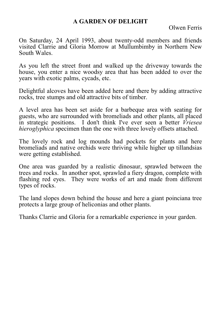#### **A GARDEN OF DELIGHT**

Olwen Ferris

On Saturday, 24 April 1993, about twenty-odd members and friends visited Clarrie and Gloria Morrow at Mullumbimby in Northern New South Wales.

As you left the street front and walked up the driveway towards the house, you enter a nice woodsy area that has been added to over the years with exotic palms, cycads, etc.

Delightful alcoves have been added here and there by adding attractive rocks, tree stumps and old attractive bits of timber.

A level area has been set aside for a barbeque area with seating for guests, who are surrounded with bromeliads and other plants, all placed in strategic positions. I don't think I've ever seen a better *Vriesea hieroglyphica* specimen than the one with three lovely offsets attached.

The lovely rock and log mounds had pockets for plants and here bromeliads and native orchids were thriving while higher up tillandsias were getting established.

One area was guarded by a realistic dinosaur, sprawled between the trees and rocks. In another spot, sprawled a fiery dragon, complete with flashing red eyes. They were works of art and made from different types of rocks.

The land slopes down behind the house and here a giant poinciana tree protects a large group of heliconias and other plants.

Thanks Clarrie and Gloria for a remarkable experience in your garden.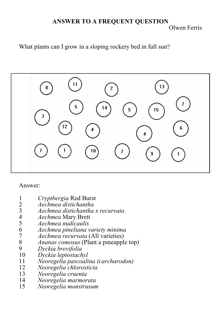#### **ANSWER TO A FREQUENT QUESTION** Olwen Ferris

What plants can I grow in a sloping rockery bed in full sun?



#### Answer:

- 
- *Aechmea distichantha*
- 1 *Cryptbergia* Red Burst<br>2 *Aechmea distichantha*<br>3 *Aechmea distichantha*<br>4 *Aechmea* Mary Brett *Aechmea distichantha x recurvata*
- 
- *Aechmea* Mary Brett *Aechmea nudicaulis*
- *Aechmea pineliana variety minima*
- *Aechmea recurvata* (All varieties)
- *Ananas comosus* (Plant a pineapple top)
- *Dyckia brevifolia*
- *Dyckia leptostachyl*
- *Neoregelia pascoalina (carcharodon)*
- *Neoregelia chlorosticta*
- *Neoregelia cruenta*
- *Neoregelia marmorata*
- *Neoregelia monstrusum*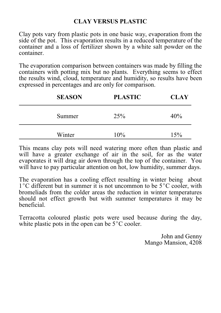### **CLAY VERSUS PLASTIC**

Clay pots vary from plastic pots in one basic way, evaporation from the side of the pot. This evaporation results in a reduced temperature of the container and a loss of fertilizer shown by a white salt powder on the container.

The evaporation comparison between containers was made by filling the containers with potting mix but no plants. Everything seems to effect the results wind, cloud, temperature and humidity, so results have been expressed in percentages and are only for comparison.

| <b>SEASON</b> | <b>PLASTIC</b> | <b>CLAY</b> |
|---------------|----------------|-------------|
| Summer        | 25%            | 40%         |
| Winter        | 10%            | 15%         |

This means clay pots will need watering more often than plastic and will have a greater exchange of air in the soil, for as the water evaporates it will drag air down through the top of the container. You will have to pay particular attention on hot, low humidity, summer days.

The evaporation has a cooling effect resulting in winter being about  $1^{\circ}$ C different but in summer it is not uncommon to be  $5^{\circ}$ C cooler, with bromeliads from the colder areas the reduction in winter temperatures should not effect growth but with summer temperatures it may be beneficial.

Terracotta coloured plastic pots were used because during the day, white plastic pots in the open can be  $5^{\circ}$ C cooler.

> John and Genny Mango Mansion, 4208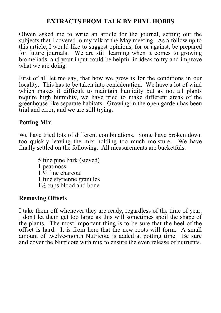## **EXTRACTS FROM TALK BY PHYL HOBBS**

Olwen asked me to write an article for the journal, setting out the subjects that I covered in my talk at the May meeting. As a follow up to this article, I would like to suggest opinions, for or against, be prepared for future journals. We are still learning when it comes to growing bromeliads, and your input could be helpful in ideas to try and improve what we are doing.

First of all let me say, that how we grow is for the conditions in our locality. This has to be taken into consideration. We have a lot of wind which makes it difficult to maintain humidity but as not all plants require high humidity, we have tried to make different areas of the greenhouse like separate habitats. Growing in the open garden has been trial and error, and we are still trying.

# **Potting Mix**

We have tried lots of different combinations. Some have broken down too quickly leaving the mix holding too much moisture. We have finally settled on the following. All measurements are bucketfuls:

> 5 fine pine bark (sieved) 1 peatmoss  $1\frac{1}{2}$  fine charcoal 1 fine styrienne granules 1½ cups blood and bone

### **Removing Offsets**

I take them off whenever they are ready, regardless of the time of year. I don't let them get too large as this will sometimes spoil the shape of the plants. The most important thing is to be sure that the heel of the offset is hard. It is from here that the new roots will form. A small amount of twelve-month Nutricote is added at potting time. Be sure and cover the Nutricote with mix to ensure the even release of nutrients.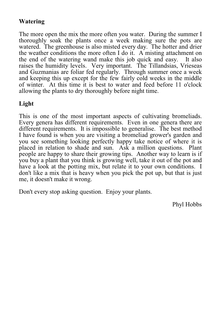# **Watering**

The more open the mix the more often you water. During the summer I thoroughly soak the plants once a week making sure the pots are watered. The greenhouse is also misted every day. The hotter and drier the weather conditions the more often I do it. A misting attachment on the end of the watering wand make this job quick and easy. It also raises the humidity levels. Very important. The Tillandsias, Vrieseas and Guzmanias are foliar fed regularly. Through summer once a week and keeping this up except for the few fairly cold weeks in the middle of winter. At this time it is best to water and feed before 11 o'clock allowing the plants to dry thoroughly before night time.

# **Light**

This is one of the most important aspects of cultivating bromeliads. Every genera has different requirements. Even in one genera there are different requirements. It is impossible to generalise. The best method I have found is when you are visiting a bromeliad grower's garden and you see something looking perfectly happy take notice of where it is placed in relation to shade and sun. Ask a million questions. Plant people are happy to share their growing tips. Another way to learn is if you buy a plant that you think is growing well, take it out of the pot and have a look at the potting mix, but relate it to your own conditions. I don't like a mix that is heavy when you pick the pot up, but that is just me, it doesn't make it wrong.

Don't every stop asking question. Enjoy your plants.

Phyl Hobbs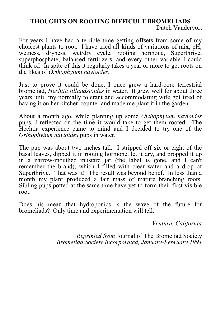#### **THOUGHTS ON ROOTING DIFFICULT BROMELIADS** Dutch Vandervort

For years I have had a terrible time getting offsets from some of my choicest plants to root. I have tried all kinds of variations of mix, pH, wetness, dryness, wet/dry cycle, rooting hormone, Superthrive, superphosphate, balanced fertilizers, and every other variable I could think of. In spite of this it regularly takes a year or more to get roots on the likes of *Orthophytum navioides*.

Just to prove it could be done, I once grew a hard-core terrestrial bromeliad, *Hechtia tillandsioides* in water. It grew well for about three years until my normally tolerant and accommodating wife got tired of having it on her kitchen counter and made me plant it in the garden.

About a month ago, while planting up some *Orthophytum navioides* pups, I reflected on the time it would take to get them rooted. The Hechtia experience came to mind and I decided to try one of the *Orthophytum navioides* pups in water.

The pup was about two inches tall. I stripped off six or eight of the basal leaves, dipped it in rooting hormone, let it dry, and propped it up in a narrow-mouthed mustard jar (the label is gone, and I can't remember the brand), which I filled with clear water and a drop of Superthrive. That was it! The result was beyond belief. In less than a month my plant produced a fair mass of mature branching roots. Sibling pups potted at the same time have yet to form their first visible root.

Does his mean that hydroponics is the wave of the future for bromeliads? Only time and experimentation will tell.

*Ventura, California*

*Reprinted from* Journal of The Bromeliad Society *Bromeliad Society Incorporated, January-February 1991*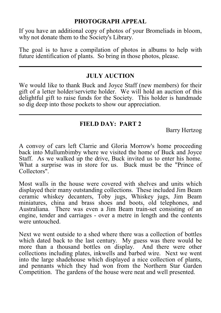#### **PHOTOGRAPH APPEAL**

If you have an additional copy of photos of your Bromeliads in bloom, why not donate them to the Society's Library.

The goal is to have a compilation of photos in albums to help with future identification of plants. So bring in those photos, please.

### **JULY AUCTION**

We would like to thank Buck and Joyce Staff (new members) for their gift of a letter holder/serviette holder. We will hold an auction of this delightful gift to raise funds for the Society. This holder is handmade so dig deep into those pockets to show our appreciation.

### **FIELD DAY: PART 2**

Barry Hertzog

A convoy of cars left Clarrie and Gloria Morrow's home proceeding back into Mullumbimby where we visited the home of Buck and Joyce Staff. As we walked up the drive, Buck invited us to enter his home. What a surprise was in store for us. Buck must be the "Prince of Collectors".

Most walls in the house were covered with shelves and units which displayed their many outstanding collections. These included Jim Beam ceramic whiskey decanters, Toby jugs, Whiskey jugs, Jim Beam miniatures, china and brass shoes and boots, old telephones, and Australiana. There was even a Jim Beam train-set consisting of an engine, tender and carriages - over a metre in length and the contents were untouched.

Next we went outside to a shed where there was a collection of bottles which dated back to the last century. My guess was there would be more than a thousand bottles on display. And there were other collections including plates, inkwells and barbed wire. Next we went into the large shadehouse which displayed a nice collection of plants, and pennants which they had won from the Northern Star Garden Competition. The gardens of the house were neat and well presented.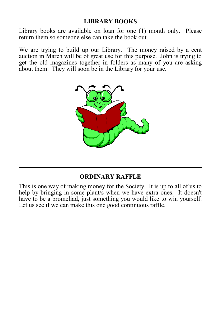## **LIBRARY BOOKS**

Library books are available on loan for one (1) month only. Please return them so someone else can take the book out.

We are trying to build up our Library. The money raised by a cent auction in March will be of great use for this purpose. John is trying to get the old magazines together in folders as many of you are asking about them. They will soon be in the Library for your use.



### **ORDINARY RAFFLE**

This is one way of making money for the Society. It is up to all of us to help by bringing in some plant/s when we have extra ones. It doesn't have to be a bromeliad, just something you would like to win yourself. Let us see if we can make this one good continuous raffle.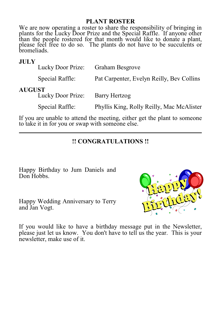#### **PLANT ROSTER**

We are now operating a roster to share the responsibility of bringing in plants for the Lucky Door Prize and the Special Raffle. If anyone other than the people rostered for that month would like to donate a plant, please feel free to do so. The plants do not have to be succulents or bromeliads.

#### **JULY**

|               | Lucky Door Prize: | <b>Graham Besgrove</b>                    |
|---------------|-------------------|-------------------------------------------|
|               | Special Raffle:   | Pat Carpenter, Evelyn Reilly, Bev Collins |
| <b>AUGUST</b> | Lucky Door Prize: | Barry Hertzog                             |

Special Raffle: Phyllis King, Rolly Reilly, Mac McAlister

If you are unable to attend the meeting, either get the plant to someone to take it in for you or swap with someone else.

#### **!! CONGRATULATIONS !!**

Happy Birthday to Jum Daniels and Don Hobbs.

Happy Wedding Anniversary to Terry and Jan Vogt.



If you would like to have a birthday message put in the Newsletter, please just let us know. You don't have to tell us the year. This is your newsletter, make use of it.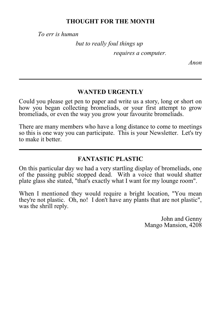#### **THOUGHT FOR THE MONTH**

*To err is human* 

*but to really foul things up* 

*requires a computer.*

*Anon*

### **WANTED URGENTLY**

Could you please get pen to paper and write us a story, long or short on how you began collecting bromeliads, or your first attempt to grow bromeliads, or even the way you grow your favourite bromeliads.

There are many members who have a long distance to come to meetings so this is one way you can participate. This is your Newsletter. Let's try to make it better.

# **FANTASTIC PLASTIC**

On this particular day we had a very startling display of bromeliads, one of the passing public stopped dead. With a voice that would shatter plate glass she stated, "that's exactly what I want for my lounge room".

When I mentioned they would require a bright location, "You mean they're not plastic. Oh, no! I don't have any plants that are not plastic", was the shrill reply.

> John and Genny Mango Mansion, 4208